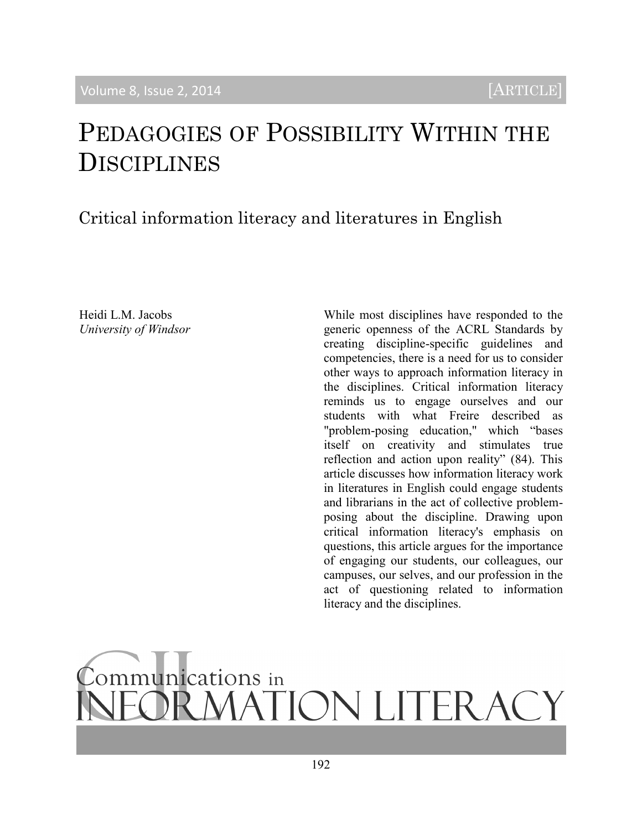# PEDAGOGIES OF POSSIBILITY WITHIN THE DISCIPLINES

# Critical information literacy and literatures in English

Heidi L.M. Jacobs *University of Windsor* While most disciplines have responded to the generic openness of the ACRL Standards by creating discipline-specific guidelines and competencies, there is a need for us to consider other ways to approach information literacy in the disciplines. Critical information literacy reminds us to engage ourselves and our students with what Freire described as "problem-posing education," which "bases itself on creativity and stimulates true reflection and action upon reality" (84). This article discusses how information literacy work in literatures in English could engage students and librarians in the act of collective problemposing about the discipline. Drawing upon critical information literacy's emphasis on questions, this article argues for the importance of engaging our students, our colleagues, our campuses, our selves, and our profession in the act of questioning related to information literacy and the disciplines.

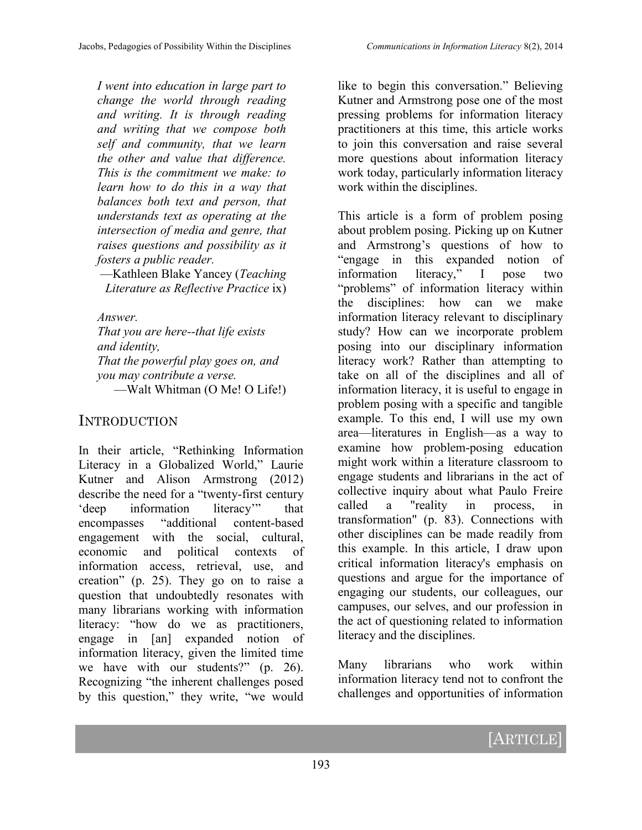*I went into education in large part to change the world through reading and writing. It is through reading and writing that we compose both self and community, that we learn the other and value that difference. This is the commitment we make: to learn how to do this in a way that balances both text and person, that understands text as operating at the intersection of media and genre, that raises questions and possibility as it fosters a public reader.*

—Kathleen Blake Yancey (*Teaching Literature as Reflective Practice* ix)

*Answer.*

*That you are here--that life exists and identity, That the powerful play goes on, and you may contribute a verse.*  —Walt Whitman (O Me! O Life!)

#### INTRODUCTION

In their article, "Rethinking Information Literacy in a Globalized World," Laurie Kutner and Alison Armstrong (2012) describe the need for a "twenty-first century 'deep information literacy'" that encompasses "additional content-based engagement with the social, cultural, economic and political contexts of information access, retrieval, use, and creation" (p. 25). They go on to raise a question that undoubtedly resonates with many librarians working with information literacy: "how do we as practitioners, engage in [an] expanded notion of information literacy, given the limited time we have with our students?" (p. 26). Recognizing "the inherent challenges posed by this question," they write, "we would

like to begin this conversation." Believing Kutner and Armstrong pose one of the most pressing problems for information literacy practitioners at this time, this article works to join this conversation and raise several more questions about information literacy work today, particularly information literacy work within the disciplines.

This article is a form of problem posing about problem posing. Picking up on Kutner and Armstrong's questions of how to "engage in this expanded notion of information literacy," I pose two "problems" of information literacy within the disciplines: how can we make information literacy relevant to disciplinary study? How can we incorporate problem posing into our disciplinary information literacy work? Rather than attempting to take on all of the disciplines and all of information literacy, it is useful to engage in problem posing with a specific and tangible example. To this end, I will use my own area—literatures in English—as a way to examine how problem-posing education might work within a literature classroom to engage students and librarians in the act of collective inquiry about what Paulo Freire called a "reality in process, in transformation" (p. 83). Connections with other disciplines can be made readily from this example. In this article, I draw upon critical information literacy's emphasis on questions and argue for the importance of engaging our students, our colleagues, our campuses, our selves, and our profession in the act of questioning related to information literacy and the disciplines.

Many librarians who work within information literacy tend not to confront the challenges and opportunities of information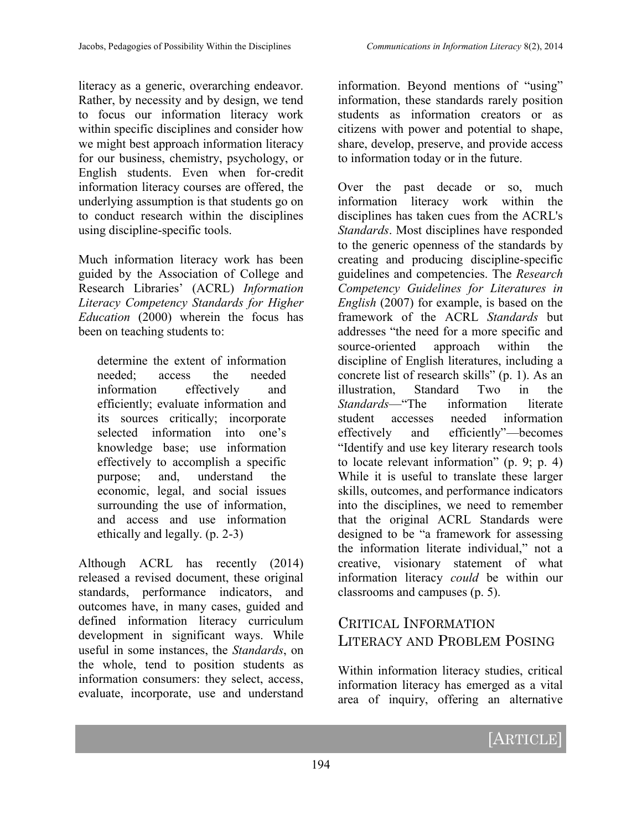literacy as a generic, overarching endeavor. Rather, by necessity and by design, we tend to focus our information literacy work within specific disciplines and consider how we might best approach information literacy for our business, chemistry, psychology, or English students. Even when for-credit information literacy courses are offered, the underlying assumption is that students go on to conduct research within the disciplines using discipline-specific tools.

Much information literacy work has been guided by the Association of College and Research Libraries' (ACRL) *Information Literacy Competency Standards for Higher Education* (2000) wherein the focus has been on teaching students to:

determine the extent of information needed; access the needed information effectively and efficiently; evaluate information and its sources critically; incorporate selected information into one's knowledge base; use information effectively to accomplish a specific purpose; and, understand the economic, legal, and social issues surrounding the use of information, and access and use information ethically and legally. (p. 2-3)

Although ACRL has recently (2014) released a revised document, these original standards, performance indicators, and outcomes have, in many cases, guided and defined information literacy curriculum development in significant ways. While useful in some instances, the *Standards*, on the whole, tend to position students as information consumers: they select, access, evaluate, incorporate, use and understand

information. Beyond mentions of "using" information, these standards rarely position students as information creators or as citizens with power and potential to shape, share, develop, preserve, and provide access to information today or in the future.

Over the past decade or so, much information literacy work within the disciplines has taken cues from the ACRL's *Standards*. Most disciplines have responded to the generic openness of the standards by creating and producing discipline-specific guidelines and competencies. The *Research Competency Guidelines for Literatures in English* (2007) for example, is based on the framework of the ACRL *Standards* but addresses "the need for a more specific and source-oriented approach within the discipline of English literatures, including a concrete list of research skills" (p. 1). As an illustration, Standard Two in the *Standards*—"The information literate student accesses needed information effectively and efficiently"—becomes "Identify and use key literary research tools to locate relevant information" (p. 9; p. 4) While it is useful to translate these larger skills, outcomes, and performance indicators into the disciplines, we need to remember that the original ACRL Standards were designed to be "a framework for assessing the information literate individual," not a creative, visionary statement of what information literacy *could* be within our classrooms and campuses (p. 5).

### CRITICAL INFORMATION LITERACY AND PROBLEM POSING

Within information literacy studies, critical information literacy has emerged as a vital area of inquiry, offering an alternative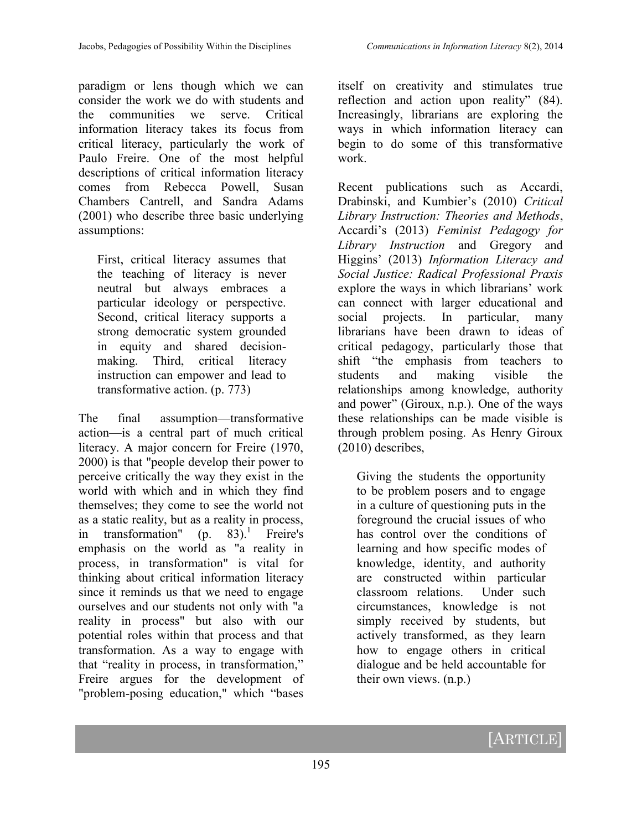paradigm or lens though which we can consider the work we do with students and the communities we serve. Critical information literacy takes its focus from critical literacy, particularly the work of Paulo Freire. One of the most helpful descriptions of critical information literacy comes from Rebecca Powell, Susan Chambers Cantrell, and Sandra Adams (2001) who describe three basic underlying assumptions:

First, critical literacy assumes that the teaching of literacy is never neutral but always embraces a particular ideology or perspective. Second, critical literacy supports a strong democratic system grounded in equity and shared decisionmaking. Third, critical literacy instruction can empower and lead to transformative action. (p. 773)

The final assumption—transformative action—is a central part of much critical literacy. A major concern for Freire (1970, 2000) is that "people develop their power to perceive critically the way they exist in the world with which and in which they find themselves; they come to see the world not as a static reality, but as a reality in process, in transformation"  $(p. 83)^{1}$  Freire's emphasis on the world as "a reality in process, in transformation" is vital for thinking about critical information literacy since it reminds us that we need to engage ourselves and our students not only with "a reality in process" but also with our potential roles within that process and that transformation. As a way to engage with that "reality in process, in transformation," Freire argues for the development of "problem-posing education," which "bases

itself on creativity and stimulates true reflection and action upon reality" (84). Increasingly, librarians are exploring the ways in which information literacy can begin to do some of this transformative work.

Recent publications such as Accardi, Drabinski, and Kumbier's (2010) *Critical Library Instruction: Theories and Methods*, Accardi's (2013) *Feminist Pedagogy for Library Instruction* and Gregory and Higgins' (2013) *Information Literacy and Social Justice: Radical Professional Praxis* explore the ways in which librarians' work can connect with larger educational and social projects. In particular, many librarians have been drawn to ideas of critical pedagogy, particularly those that shift "the emphasis from teachers to students and making visible the relationships among knowledge, authority and power" (Giroux, n.p.). One of the ways these relationships can be made visible is through problem posing. As Henry Giroux (2010) describes,

Giving the students the opportunity to be problem posers and to engage in a culture of questioning puts in the foreground the crucial issues of who has control over the conditions of learning and how specific modes of knowledge, identity, and authority are constructed within particular classroom relations. Under such circumstances, knowledge is not simply received by students, but actively transformed, as they learn how to engage others in critical dialogue and be held accountable for their own views. (n.p.)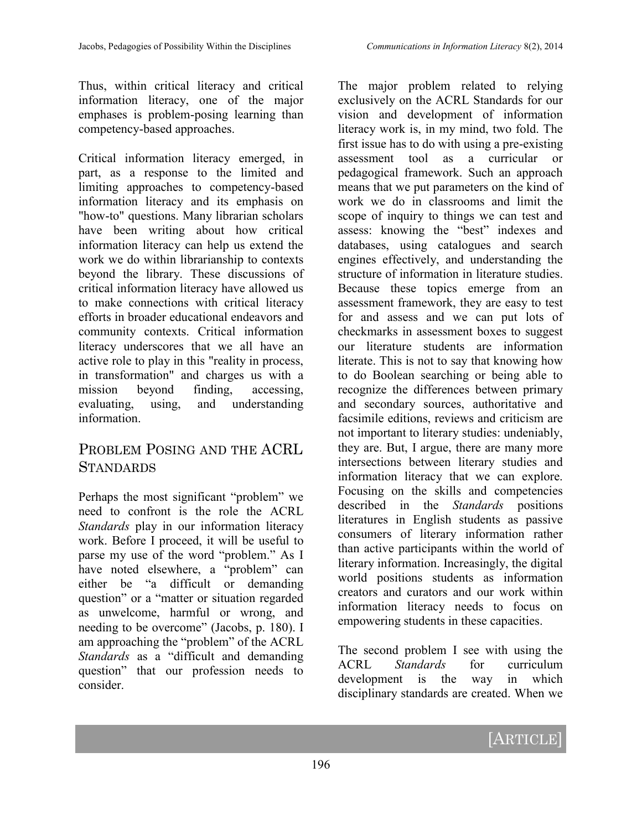Thus, within critical literacy and critical information literacy, one of the major emphases is problem-posing learning than competency-based approaches.

Critical information literacy emerged, in part, as a response to the limited and limiting approaches to competency-based information literacy and its emphasis on "how-to" questions. Many librarian scholars have been writing about how critical information literacy can help us extend the work we do within librarianship to contexts beyond the library. These discussions of critical information literacy have allowed us to make connections with critical literacy efforts in broader educational endeavors and community contexts. Critical information literacy underscores that we all have an active role to play in this "reality in process, in transformation" and charges us with a mission beyond finding, accessing, evaluating, using, and understanding information.

#### PROBLEM POSING AND THE ACRL **STANDARDS**

Perhaps the most significant "problem" we need to confront is the role the ACRL *Standards* play in our information literacy work. Before I proceed, it will be useful to parse my use of the word "problem." As I have noted elsewhere, a "problem" can either be "a difficult or demanding question" or a "matter or situation regarded as unwelcome, harmful or wrong, and needing to be overcome" (Jacobs, p. 180). I am approaching the "problem" of the ACRL *Standards* as a "difficult and demanding question" that our profession needs to consider.

The major problem related to relying exclusively on the ACRL Standards for our vision and development of information literacy work is, in my mind, two fold. The first issue has to do with using a pre-existing assessment tool as a curricular or pedagogical framework. Such an approach means that we put parameters on the kind of work we do in classrooms and limit the scope of inquiry to things we can test and assess: knowing the "best" indexes and databases, using catalogues and search engines effectively, and understanding the structure of information in literature studies. Because these topics emerge from an assessment framework, they are easy to test for and assess and we can put lots of checkmarks in assessment boxes to suggest our literature students are information literate. This is not to say that knowing how to do Boolean searching or being able to recognize the differences between primary and secondary sources, authoritative and facsimile editions, reviews and criticism are not important to literary studies: undeniably, they are. But, I argue, there are many more intersections between literary studies and information literacy that we can explore. Focusing on the skills and competencies described in the *Standards* positions literatures in English students as passive consumers of literary information rather than active participants within the world of literary information. Increasingly, the digital world positions students as information creators and curators and our work within information literacy needs to focus on empowering students in these capacities.

The second problem I see with using the ACRL *Standards* for curriculum development is the way in which disciplinary standards are created. When we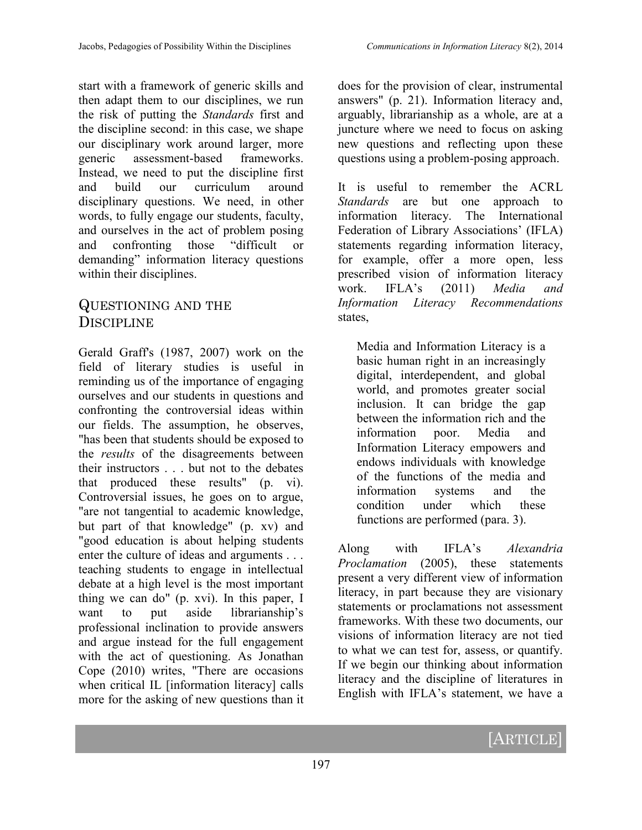start with a framework of generic skills and then adapt them to our disciplines, we run the risk of putting the *Standards* first and the discipline second: in this case, we shape our disciplinary work around larger, more generic assessment-based frameworks. Instead, we need to put the discipline first and build our curriculum around disciplinary questions. We need, in other words, to fully engage our students, faculty, and ourselves in the act of problem posing and confronting those "difficult or demanding" information literacy questions within their disciplines.

#### QUESTIONING AND THE DISCIPLINE

Gerald Graff's (1987, 2007) work on the field of literary studies is useful in reminding us of the importance of engaging ourselves and our students in questions and confronting the controversial ideas within our fields. The assumption, he observes, "has been that students should be exposed to the *results* of the disagreements between their instructors . . . but not to the debates that produced these results" (p. vi). Controversial issues, he goes on to argue, "are not tangential to academic knowledge, but part of that knowledge" (p. xv) and "good education is about helping students enter the culture of ideas and arguments . . . teaching students to engage in intellectual debate at a high level is the most important thing we can do" (p. xvi). In this paper, I want to put aside librarianship's professional inclination to provide answers and argue instead for the full engagement with the act of questioning. As Jonathan Cope (2010) writes, "There are occasions when critical IL [information literacy] calls more for the asking of new questions than it

does for the provision of clear, instrumental answers" (p. 21). Information literacy and, arguably, librarianship as a whole, are at a juncture where we need to focus on asking new questions and reflecting upon these questions using a problem-posing approach.

It is useful to remember the ACRL *Standards* are but one approach to information literacy. The International Federation of Library Associations' (IFLA) statements regarding information literacy, for example, offer a more open, less prescribed vision of information literacy work. IFLA's (2011) *Media and Information Literacy Recommendations* states,

Media and Information Literacy is a basic human right in an increasingly digital, interdependent, and global world, and promotes greater social inclusion. It can bridge the gap between the information rich and the information poor. Media and Information Literacy empowers and endows individuals with knowledge of the functions of the media and information systems and the condition under which these functions are performed (para. 3).

Along with IFLA's *Alexandria Proclamation* (2005), these statements present a very different view of information literacy, in part because they are visionary statements or proclamations not assessment frameworks. With these two documents, our visions of information literacy are not tied to what we can test for, assess, or quantify. If we begin our thinking about information literacy and the discipline of literatures in English with IFLA's statement, we have a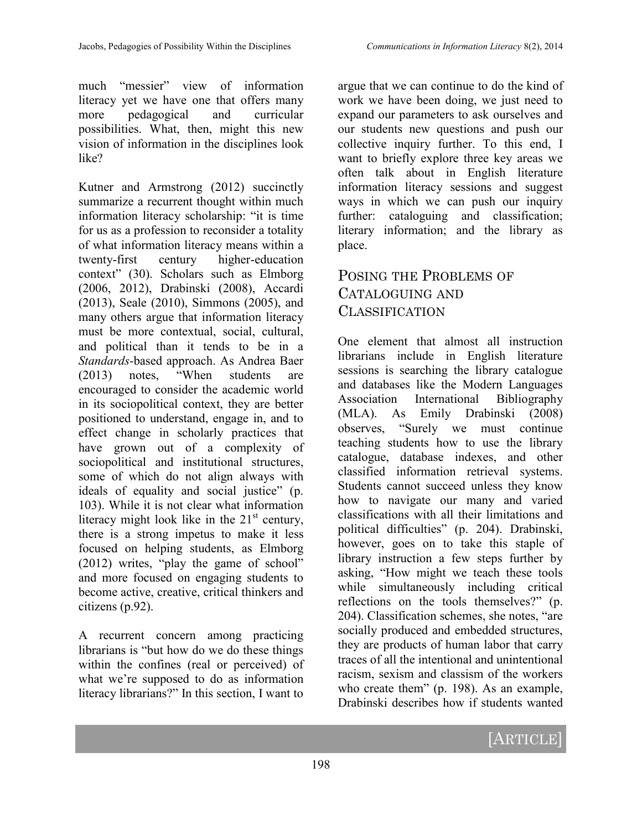much "messier" view of information literacy yet we have one that offers many more pedagogical and curricular possibilities. What, then, might this new vision of information in the disciplines look like?

Kutner and Armstrong (2012) succinctly summarize a recurrent thought within much information literacy scholarship: "it is time for us as a profession to reconsider a totality of what information literacy means within a twenty-first century higher-education context" (30). Scholars such as Elmborg (2006, 2012), Drabinski (2008), Accardi (2013), Seale (2010), Simmons (2005), and many others argue that information literacy must be more contextual, social, cultural, and political than it tends to be in a *Standards*-based approach. As Andrea Baer (2013) notes, "When students are encouraged to consider the academic world in its sociopolitical context, they are better positioned to understand, engage in, and to effect change in scholarly practices that have grown out of a complexity of sociopolitical and institutional structures, some of which do not align always with ideals of equality and social justice" (p. 103). While it is not clear what information literacy might look like in the  $21<sup>st</sup>$  century, there is a strong impetus to make it less focused on helping students, as Elmborg (2012) writes, "play the game of school" and more focused on engaging students to become active, creative, critical thinkers and citizens (p.92).

A recurrent concern among practicing librarians is "but how do we do these things within the confines (real or perceived) of what we're supposed to do as information literacy librarians?" In this section, I want to

argue that we can continue to do the kind of work we have been doing, we just need to expand our parameters to ask ourselves and our students new questions and push our collective inquiry further. To this end, I want to briefly explore three key areas we often talk about in English literature information literacy sessions and suggest ways in which we can push our inquiry further: cataloguing and classification; literary information; and the library as place.

## POSING THE PROBLEMS OF CATALOGUING AND CLASSIFICATION

One element that almost all instruction librarians include in English literature sessions is searching the library catalogue and databases like the Modern Languages Association International Bibliography (MLA). As Emily Drabinski (2008) observes, "Surely we must continue teaching students how to use the library catalogue, database indexes, and other classified information retrieval systems. Students cannot succeed unless they know how to navigate our many and varied classifications with all their limitations and political difficulties" (p. 204). Drabinski, however, goes on to take this staple of library instruction a few steps further by asking, "How might we teach these tools while simultaneously including critical reflections on the tools themselves?" (p. 204). Classification schemes, she notes, "are socially produced and embedded structures, they are products of human labor that carry traces of all the intentional and unintentional racism, sexism and classism of the workers who create them" (p. 198). As an example, Drabinski describes how if students wanted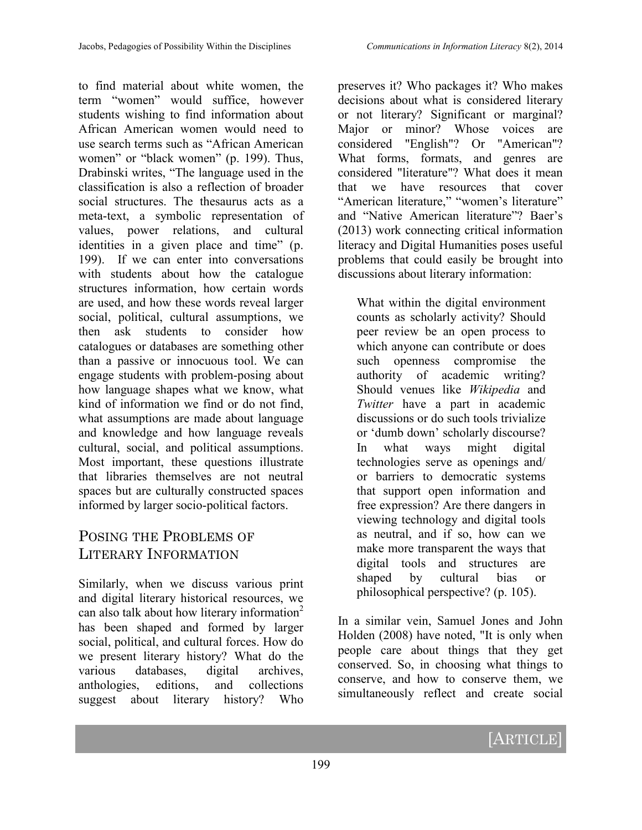to find material about white women, the term "women" would suffice, however students wishing to find information about African American women would need to use search terms such as "African American women" or "black women" (p. 199). Thus, Drabinski writes, "The language used in the classification is also a reflection of broader social structures. The thesaurus acts as a meta-text, a symbolic representation of values, power relations, and cultural identities in a given place and time" (p. 199). If we can enter into conversations with students about how the catalogue structures information, how certain words are used, and how these words reveal larger social, political, cultural assumptions, we then ask students to consider how catalogues or databases are something other than a passive or innocuous tool. We can engage students with problem-posing about how language shapes what we know, what kind of information we find or do not find, what assumptions are made about language and knowledge and how language reveals cultural, social, and political assumptions. Most important, these questions illustrate that libraries themselves are not neutral spaces but are culturally constructed spaces informed by larger socio-political factors.

### POSING THE PROBLEMS OF LITERARY INFORMATION

Similarly, when we discuss various print and digital literary historical resources, we can also talk about how literary information<sup>2</sup> has been shaped and formed by larger social, political, and cultural forces. How do we present literary history? What do the various databases, digital archives, anthologies, editions, and collections suggest about literary history? Who

preserves it? Who packages it? Who makes decisions about what is considered literary or not literary? Significant or marginal? Major or minor? Whose voices are considered "English"? Or "American"? What forms, formats, and genres are considered "literature"? What does it mean that we have resources that cover "American literature," "women's literature" and "Native American literature"? Baer's (2013) work connecting critical information literacy and Digital Humanities poses useful problems that could easily be brought into discussions about literary information:

What within the digital environment counts as scholarly activity? Should peer review be an open process to which anyone can contribute or does such openness compromise the authority of academic writing? Should venues like *Wikipedia* and *Twitter* have a part in academic discussions or do such tools trivialize or 'dumb down' scholarly discourse? In what ways might digital technologies serve as openings and/ or barriers to democratic systems that support open information and free expression? Are there dangers in viewing technology and digital tools as neutral, and if so, how can we make more transparent the ways that digital tools and structures are shaped by cultural bias or philosophical perspective? (p. 105).

In a similar vein, Samuel Jones and John Holden (2008) have noted, "It is only when people care about things that they get conserved. So, in choosing what things to conserve, and how to conserve them, we simultaneously reflect and create social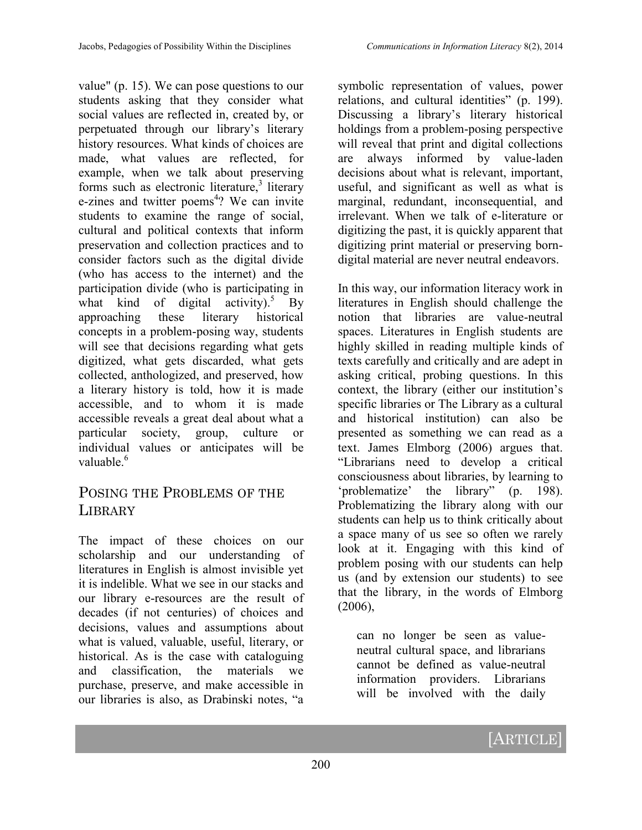value" (p. 15). We can pose questions to our students asking that they consider what social values are reflected in, created by, or perpetuated through our library's literary history resources. What kinds of choices are made, what values are reflected, for example, when we talk about preserving forms such as electronic literature,<sup>3</sup> literary e-zines and twitter poems<sup>4</sup>? We can invite students to examine the range of social, cultural and political contexts that inform preservation and collection practices and to consider factors such as the digital divide (who has access to the internet) and the participation divide (who is participating in what kind of digital activity).<sup>5</sup> By approaching these literary historical concepts in a problem-posing way, students will see that decisions regarding what gets digitized, what gets discarded, what gets collected, anthologized, and preserved, how a literary history is told, how it is made accessible, and to whom it is made accessible reveals a great deal about what a particular society, group, culture or individual values or anticipates will be valuable<sup>6</sup>

#### POSING THE PROBLEMS OF THE LIBRARY

The impact of these choices on our scholarship and our understanding of literatures in English is almost invisible yet it is indelible. What we see in our stacks and our library e-resources are the result of decades (if not centuries) of choices and decisions, values and assumptions about what is valued, valuable, useful, literary, or historical. As is the case with cataloguing and classification, the materials we purchase, preserve, and make accessible in our libraries is also, as Drabinski notes, "a

symbolic representation of values, power relations, and cultural identities" (p. 199). Discussing a library's literary historical holdings from a problem-posing perspective will reveal that print and digital collections are always informed by value-laden decisions about what is relevant, important, useful, and significant as well as what is marginal, redundant, inconsequential, and irrelevant. When we talk of e-literature or digitizing the past, it is quickly apparent that digitizing print material or preserving borndigital material are never neutral endeavors.

In this way, our information literacy work in literatures in English should challenge the notion that libraries are value-neutral spaces. Literatures in English students are highly skilled in reading multiple kinds of texts carefully and critically and are adept in asking critical, probing questions. In this context, the library (either our institution's specific libraries or The Library as a cultural and historical institution) can also be presented as something we can read as a text. James Elmborg (2006) argues that. "Librarians need to develop a critical consciousness about libraries, by learning to 'problematize' the library" (p. 198). Problematizing the library along with our students can help us to think critically about a space many of us see so often we rarely look at it. Engaging with this kind of problem posing with our students can help us (and by extension our students) to see that the library, in the words of Elmborg  $(2006)$ ,

can no longer be seen as valueneutral cultural space, and librarians cannot be defined as value-neutral information providers. Librarians will be involved with the daily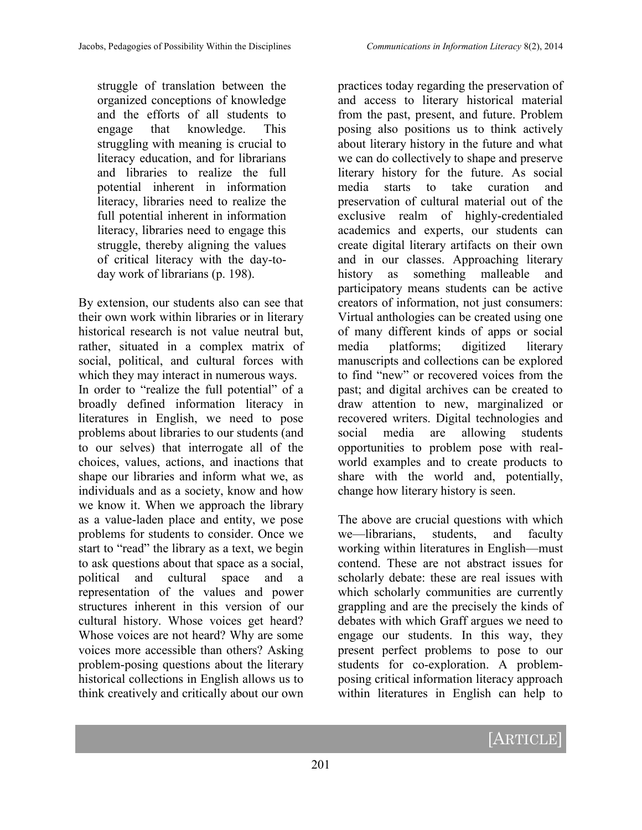struggle of translation between the organized conceptions of knowledge and the efforts of all students to engage that knowledge. This struggling with meaning is crucial to literacy education, and for librarians and libraries to realize the full potential inherent in information literacy, libraries need to realize the full potential inherent in information literacy, libraries need to engage this struggle, thereby aligning the values of critical literacy with the day-today work of librarians (p. 198).

By extension, our students also can see that their own work within libraries or in literary historical research is not value neutral but, rather, situated in a complex matrix of social, political, and cultural forces with which they may interact in numerous ways. In order to "realize the full potential" of a broadly defined information literacy in literatures in English, we need to pose problems about libraries to our students (and to our selves) that interrogate all of the choices, values, actions, and inactions that shape our libraries and inform what we, as individuals and as a society, know and how we know it. When we approach the library as a value-laden place and entity, we pose problems for students to consider. Once we start to "read" the library as a text, we begin to ask questions about that space as a social, political and cultural space and a representation of the values and power structures inherent in this version of our cultural history. Whose voices get heard? Whose voices are not heard? Why are some voices more accessible than others? Asking problem-posing questions about the literary historical collections in English allows us to think creatively and critically about our own

practices today regarding the preservation of and access to literary historical material from the past, present, and future. Problem posing also positions us to think actively about literary history in the future and what we can do collectively to shape and preserve literary history for the future. As social media starts to take curation and preservation of cultural material out of the exclusive realm of highly-credentialed academics and experts, our students can create digital literary artifacts on their own and in our classes. Approaching literary history as something malleable and participatory means students can be active creators of information, not just consumers: Virtual anthologies can be created using one of many different kinds of apps or social media platforms; digitized literary manuscripts and collections can be explored to find "new" or recovered voices from the past; and digital archives can be created to draw attention to new, marginalized or recovered writers. Digital technologies and social media are allowing students opportunities to problem pose with realworld examples and to create products to share with the world and, potentially, change how literary history is seen.

The above are crucial questions with which we—librarians, students, and faculty working within literatures in English—must contend. These are not abstract issues for scholarly debate: these are real issues with which scholarly communities are currently grappling and are the precisely the kinds of debates with which Graff argues we need to engage our students. In this way, they present perfect problems to pose to our students for co-exploration. A problemposing critical information literacy approach within literatures in English can help to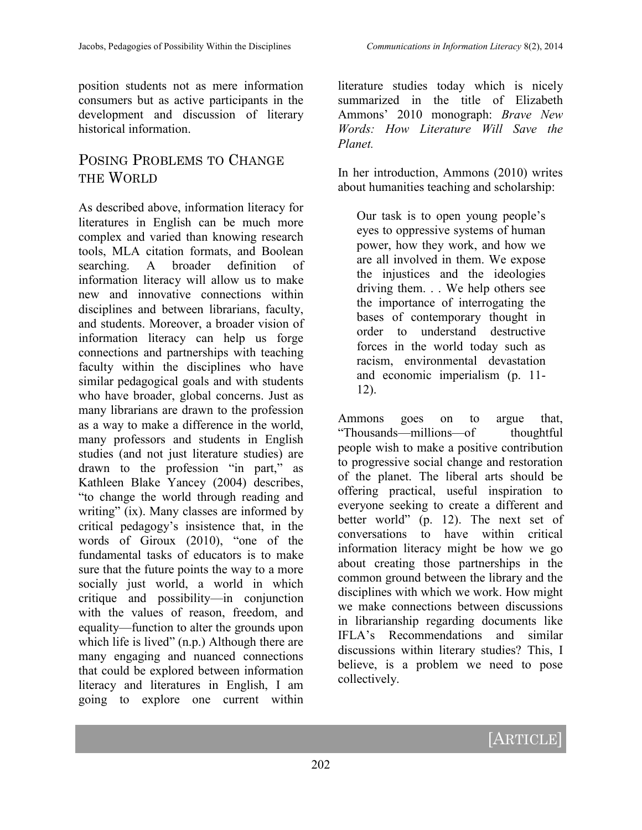position students not as mere information consumers but as active participants in the development and discussion of literary historical information.

### POSING PROBLEMS TO CHANGE THE WORLD

As described above, information literacy for literatures in English can be much more complex and varied than knowing research tools, MLA citation formats, and Boolean searching. A broader definition of information literacy will allow us to make new and innovative connections within disciplines and between librarians, faculty, and students. Moreover, a broader vision of information literacy can help us forge connections and partnerships with teaching faculty within the disciplines who have similar pedagogical goals and with students who have broader, global concerns. Just as many librarians are drawn to the profession as a way to make a difference in the world, many professors and students in English studies (and not just literature studies) are drawn to the profession "in part," as Kathleen Blake Yancey (2004) describes, "to change the world through reading and writing" (ix). Many classes are informed by critical pedagogy's insistence that, in the words of Giroux (2010), "one of the fundamental tasks of educators is to make sure that the future points the way to a more socially just world, a world in which critique and possibility—in conjunction with the values of reason, freedom, and equality—function to alter the grounds upon which life is lived" (n.p.) Although there are many engaging and nuanced connections that could be explored between information literacy and literatures in English, I am going to explore one current within

literature studies today which is nicely summarized in the title of Elizabeth Ammons' 2010 monograph: *Brave New Words: How Literature Will Save the Planet.*

In her introduction, Ammons (2010) writes about humanities teaching and scholarship:

Our task is to open young people's eyes to oppressive systems of human power, how they work, and how we are all involved in them. We expose the injustices and the ideologies driving them. . . We help others see the importance of interrogating the bases of contemporary thought in order to understand destructive forces in the world today such as racism, environmental devastation and economic imperialism (p. 11- 12).

Ammons goes on to argue that, "Thousands—millions—of thoughtful people wish to make a positive contribution to progressive social change and restoration of the planet. The liberal arts should be offering practical, useful inspiration to everyone seeking to create a different and better world" (p. 12). The next set of conversations to have within critical information literacy might be how we go about creating those partnerships in the common ground between the library and the disciplines with which we work. How might we make connections between discussions in librarianship regarding documents like IFLA's Recommendations and similar discussions within literary studies? This, I believe, is a problem we need to pose collectively.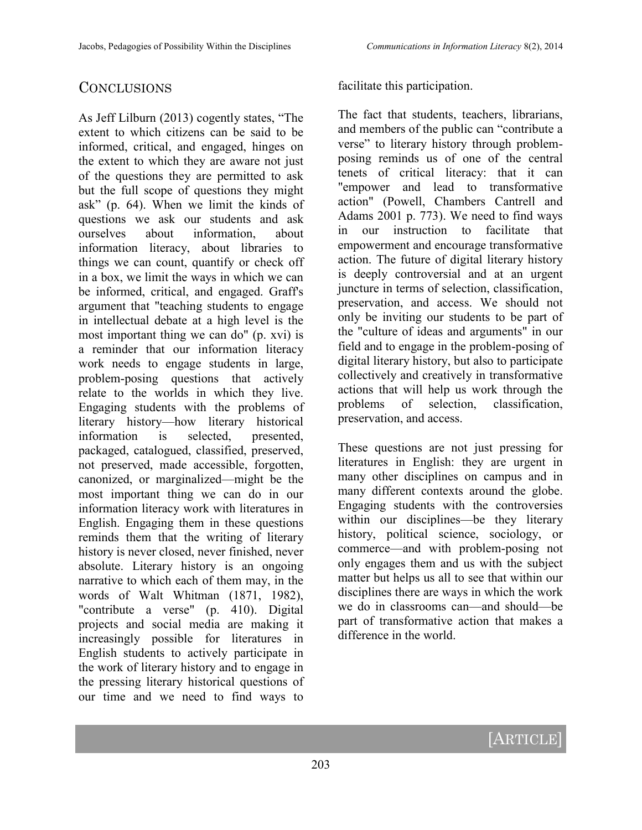#### **CONCLUSIONS**

As Jeff Lilburn (2013) cogently states, "The extent to which citizens can be said to be informed, critical, and engaged, hinges on the extent to which they are aware not just of the questions they are permitted to ask but the full scope of questions they might ask" (p. 64). When we limit the kinds of questions we ask our students and ask ourselves about information, about information literacy, about libraries to things we can count, quantify or check off in a box, we limit the ways in which we can be informed, critical, and engaged. Graff's argument that "teaching students to engage in intellectual debate at a high level is the most important thing we can do" (p. xvi) is a reminder that our information literacy work needs to engage students in large, problem-posing questions that actively relate to the worlds in which they live. Engaging students with the problems of literary history—how literary historical information is selected, presented, packaged, catalogued, classified, preserved, not preserved, made accessible, forgotten, canonized, or marginalized—might be the most important thing we can do in our information literacy work with literatures in English. Engaging them in these questions reminds them that the writing of literary history is never closed, never finished, never absolute. Literary history is an ongoing narrative to which each of them may, in the words of Walt Whitman (1871, 1982), "contribute a verse" (p. 410). Digital projects and social media are making it increasingly possible for literatures in English students to actively participate in the work of literary history and to engage in the pressing literary historical questions of our time and we need to find ways to

facilitate this participation.

The fact that students, teachers, librarians, and members of the public can "contribute a verse" to literary history through problemposing reminds us of one of the central tenets of critical literacy: that it can "empower and lead to transformative action" (Powell, Chambers Cantrell and Adams 2001 p. 773). We need to find ways in our instruction to facilitate that empowerment and encourage transformative action. The future of digital literary history is deeply controversial and at an urgent juncture in terms of selection, classification, preservation, and access. We should not only be inviting our students to be part of the "culture of ideas and arguments" in our field and to engage in the problem-posing of digital literary history, but also to participate collectively and creatively in transformative actions that will help us work through the problems of selection, classification, preservation, and access.

These questions are not just pressing for literatures in English: they are urgent in many other disciplines on campus and in many different contexts around the globe. Engaging students with the controversies within our disciplines—be they literary history, political science, sociology, or commerce—and with problem-posing not only engages them and us with the subject matter but helps us all to see that within our disciplines there are ways in which the work we do in classrooms can—and should—be part of transformative action that makes a difference in the world.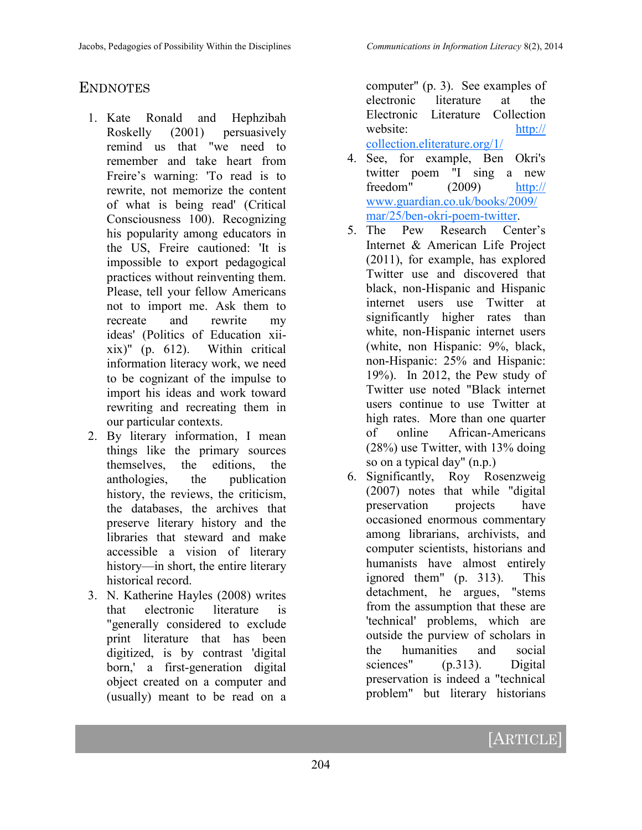#### **ENDNOTES**

- 1. Kate Ronald and Hephzibah Roskelly (2001) persuasively remind us that "we need to remember and take heart from Freire's warning: 'To read is to rewrite, not memorize the content of what is being read' (Critical Consciousness 100). Recognizing his popularity among educators in the US, Freire cautioned: 'It is impossible to export pedagogical practices without reinventing them. Please, tell your fellow Americans not to import me. Ask them to recreate and rewrite my ideas' (Politics of Education xiixix)" (p. 612). Within critical information literacy work, we need to be cognizant of the impulse to import his ideas and work toward rewriting and recreating them in our particular contexts.
- 2. By literary information, I mean things like the primary sources themselves, the editions, the anthologies, the publication history, the reviews, the criticism, the databases, the archives that preserve literary history and the libraries that steward and make accessible a vision of literary history—in short, the entire literary historical record.
- 3. N. Katherine Hayles (2008) writes that electronic literature is "generally considered to exclude print literature that has been digitized, is by contrast 'digital born,' a first-generation digital object created on a computer and (usually) meant to be read on a

computer" (p. 3). See examples of electronic literature at the Electronic Literature Collection website: [http://](http://collection.eliterature.org/1/) [collection.eliterature.org/1/](http://collection.eliterature.org/1/) 

- 4. See, for example, Ben Okri's twitter poem "I sing a new freedom" (2009) [http://](http://www.guardian.co.uk/books/2009/mar/25/ben-okri-poem-twitter) [www.guardian.co.uk/books/2009/](http://www.guardian.co.uk/books/2009/mar/25/ben-okri-poem-twitter) [mar/25/ben](http://www.guardian.co.uk/books/2009/mar/25/ben-okri-poem-twitter)-okri-poem-twitter.
- 5. The Pew Research Center's Internet & American Life Project (2011), for example, has explored Twitter use and discovered that black, non-Hispanic and Hispanic internet users use Twitter at significantly higher rates than white, non-Hispanic internet users (white, non Hispanic: 9%, black, non-Hispanic: 25% and Hispanic: 19%). In 2012, the Pew study of Twitter use noted "Black internet users continue to use Twitter at high rates. More than one quarter of online African-Americans (28%) use Twitter, with 13% doing so on a typical day" (n.p.)
- 6. Significantly, Roy Rosenzweig (2007) notes that while "digital preservation projects have occasioned enormous commentary among librarians, archivists, and computer scientists, historians and humanists have almost entirely ignored them" (p. 313). This detachment, he argues, "stems from the assumption that these are 'technical' problems, which are outside the purview of scholars in the humanities and social sciences" (p.313). Digital preservation is indeed a "technical problem" but literary historians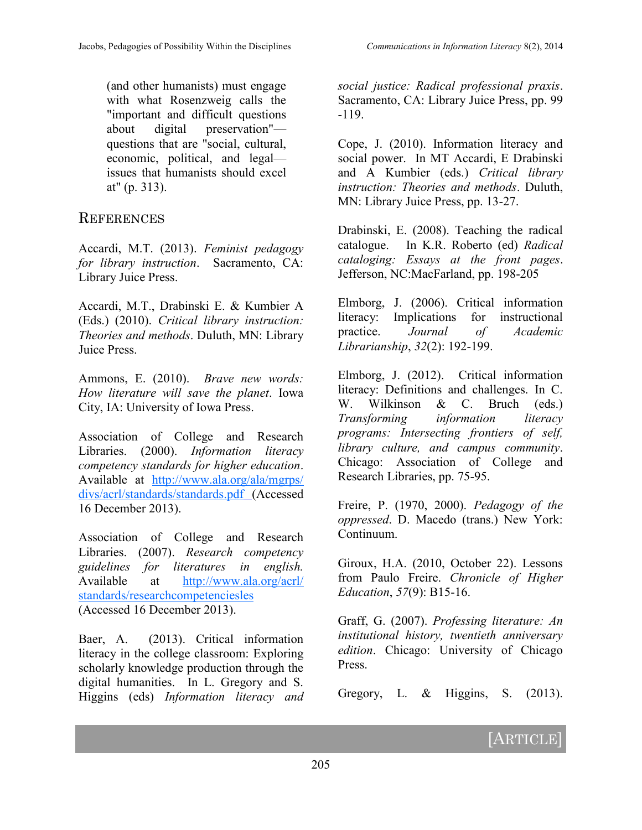(and other humanists) must engage with what Rosenzweig calls the "important and difficult questions about digital preservation" questions that are "social, cultural, economic, political, and legal issues that humanists should excel at" (p. 313).

#### **REFERENCES**

Accardi, M.T. (2013). *Feminist pedagogy for library instruction*. Sacramento, CA: Library Juice Press.

Accardi, M.T., Drabinski E. & Kumbier A (Eds.) (2010). *Critical library instruction: Theories and methods*. Duluth, MN: Library Juice Press.

Ammons, E. (2010). *Brave new words: How literature will save the planet*. Iowa City, IA: University of Iowa Press.

Association of College and Research Libraries. (2000). *Information literacy competency standards for higher education*. Available at [http://www.ala.org/ala/mgrps/](http://www.ala.org/ala/mgrps/divs/acrl/standards/standards.pdf) [divs/acrl/standards/standards.pdf](http://www.ala.org/ala/mgrps/divs/acrl/standards/standards.pdf) (Accessed 16 December 2013).

Association of College and Research Libraries. (2007). *Research competency guidelines for literatures in english.*  Available at [http://www.ala.org/acrl/](http://www.ala.org/acrl/standards/researchcompetenciesles) [standards/researchcompetenciesles](http://www.ala.org/acrl/standards/researchcompetenciesles) (Accessed 16 December 2013).

Baer, A. (2013). Critical information literacy in the college classroom: Exploring scholarly knowledge production through the digital humanities. In L. Gregory and S. Higgins (eds) *Information literacy and*  *social justice: Radical professional praxis*. Sacramento, CA: Library Juice Press, pp. 99 -119.

Cope, J. (2010). Information literacy and social power. In MT Accardi, E Drabinski and A Kumbier (eds.) *Critical library instruction: Theories and methods*. Duluth, MN: Library Juice Press, pp. 13-27.

Drabinski, E. (2008). Teaching the radical catalogue. In K.R. Roberto (ed) *Radical cataloging: Essays at the front pages*. Jefferson, NC:MacFarland, pp. 198-205

Elmborg, J. (2006). Critical information literacy: Implications for instructional practice. *Journal of Academic Librarianship*, *32*(2): 192-199.

Elmborg, J. (2012). Critical information literacy: Definitions and challenges. In C. W. Wilkinson & C. Bruch (eds.) *Transforming information literacy programs: Intersecting frontiers of self, library culture, and campus community*. Chicago: Association of College and Research Libraries, pp. 75-95.

Freire, P. (1970, 2000). *Pedagogy of the oppressed*. D. Macedo (trans.) New York: Continuum.

Giroux, H.A. (2010, October 22). Lessons from Paulo Freire. *Chronicle of Higher Education*, *57*(9): B15-16.

Graff, G. (2007). *Professing literature: An institutional history, twentieth anniversary edition*. Chicago: University of Chicago Press.

Gregory, L.  $\&$  Higgins, S. (2013).

# [ARTICLE]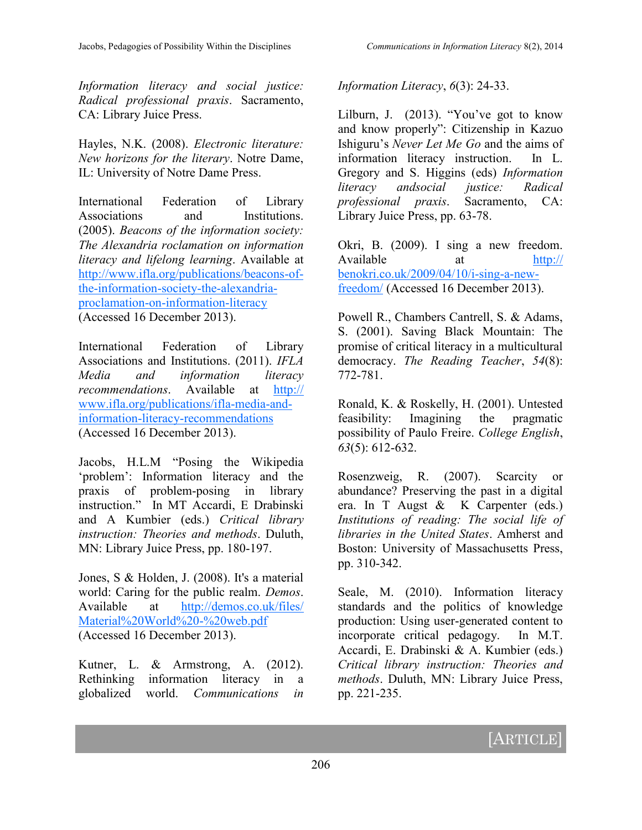*Information literacy and social justice: Radical professional praxis*. Sacramento, CA: Library Juice Press.

Hayles, N.K. (2008). *Electronic literature: New horizons for the literary*. Notre Dame, IL: University of Notre Dame Press.

International Federation of Library Associations and Institutions. (2005). *Beacons of the information society: The Alexandria roclamation on information literacy and lifelong learning*. Available at [http://www.ifla.org/publications/beacons](http://www.ifla.org/publications/beacons-of-the-information-society-the-alexandria-proclamation-on-information-literacy)-ofthe-[information](http://www.ifla.org/publications/beacons-of-the-information-society-the-alexandria-proclamation-on-information-literacy)-society-the-alexandria[proclamation](http://www.ifla.org/publications/beacons-of-the-information-society-the-alexandria-proclamation-on-information-literacy)-on-information-literacy (Accessed 16 December 2013).

International Federation of Library Associations and Institutions. (2011). *IFLA Media and information literacy recommendations*. Available at [http://](http://www.ifla.org/publications/ifla-media-and-information-literacy-recommendations) [www.ifla.org/publications/ifla](http://www.ifla.org/publications/ifla-media-and-information-literacy-recommendations)-media-andinformation-literacy-[recommendations](http://www.ifla.org/publications/ifla-media-and-information-literacy-recommendations)  (Accessed 16 December 2013).

Jacobs, H.L.M "Posing the Wikipedia 'problem': Information literacy and the praxis of problem-posing in library instruction." In MT Accardi, E Drabinski and A Kumbier (eds.) *Critical library instruction: Theories and methods*. Duluth, MN: Library Juice Press, pp. 180-197.

Jones, S & Holden, J. (2008). It's a material world: Caring for the public realm. *Demos*. Available at [http://demos.co.uk/files/](http://demos.co.uk/files/Material%20World%20-%20web.pdf) [Material%20World%20](http://demos.co.uk/files/Material%20World%20-%20web.pdf)-%20web.pdf (Accessed 16 December 2013).

Kutner, L. & Armstrong, A. (2012). Rethinking information literacy in a globalized world. *Communications in*  *Information Literacy*, *6*(3): 24-33.

Lilburn, J. (2013). "You've got to know and know properly": Citizenship in Kazuo Ishiguru's *Never Let Me Go* and the aims of information literacy instruction. In L. Gregory and S. Higgins (eds) *Information literacy andsocial justice: Radical professional praxis*. Sacramento, CA: Library Juice Press, pp. 63-78.

Okri, B. (2009). I sing a new freedom. Available at [http://](http://benokri.co.uk/2009/04/10/i-sing-a-new-freedom/) [benokri.co.uk/2009/04/10/i](http://benokri.co.uk/2009/04/10/i-sing-a-new-freedom/)-sing-a-new[freedom/](http://benokri.co.uk/2009/04/10/i-sing-a-new-freedom/) (Accessed 16 December 2013).

Powell R., Chambers Cantrell, S. & Adams, S. (2001). Saving Black Mountain: The promise of critical literacy in a multicultural democracy. *The Reading Teacher*, *54*(8): 772-781.

Ronald, K. & Roskelly, H. (2001). Untested feasibility: Imagining the pragmatic possibility of Paulo Freire. *College English*, *63*(5): 612-632.

Rosenzweig, R. (2007). Scarcity or abundance? Preserving the past in a digital era. In T Augst & K Carpenter (eds.) *Institutions of reading: The social life of libraries in the United States*. Amherst and Boston: University of Massachusetts Press, pp. 310-342.

Seale, M. (2010). Information literacy standards and the politics of knowledge production: Using user-generated content to incorporate critical pedagogy. In M.T. Accardi, E. Drabinski & A. Kumbier (eds.) *Critical library instruction: Theories and methods*. Duluth, MN: Library Juice Press, pp. 221-235.